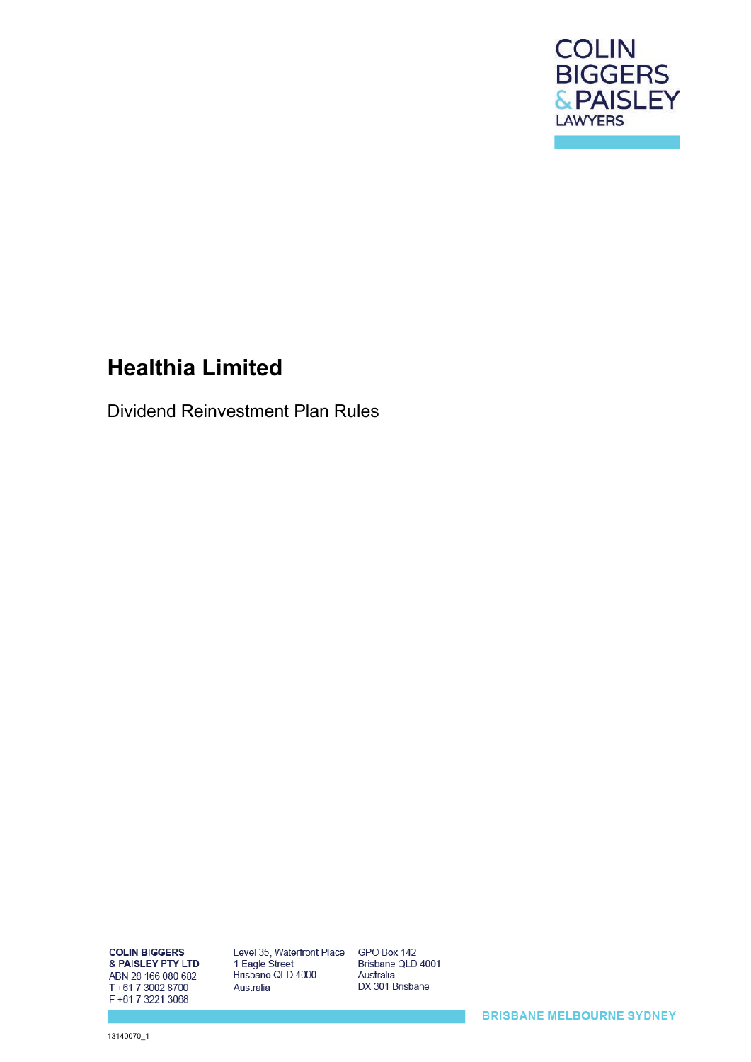

# **Healthia Limited**

Dividend Reinvestment Plan Rules

**COLIN BIGGERS** & PAISLEY PTY LTD ABN 28 166 080 682 T+61 7 3002 8700 F+61 7 3221 3068

Level 35, Waterfront Place 1 Eagle Street Brisbane QLD 4000 Australia

GPO Box 142 Brisbane QLD 4001 Australia DX 301 Brisbane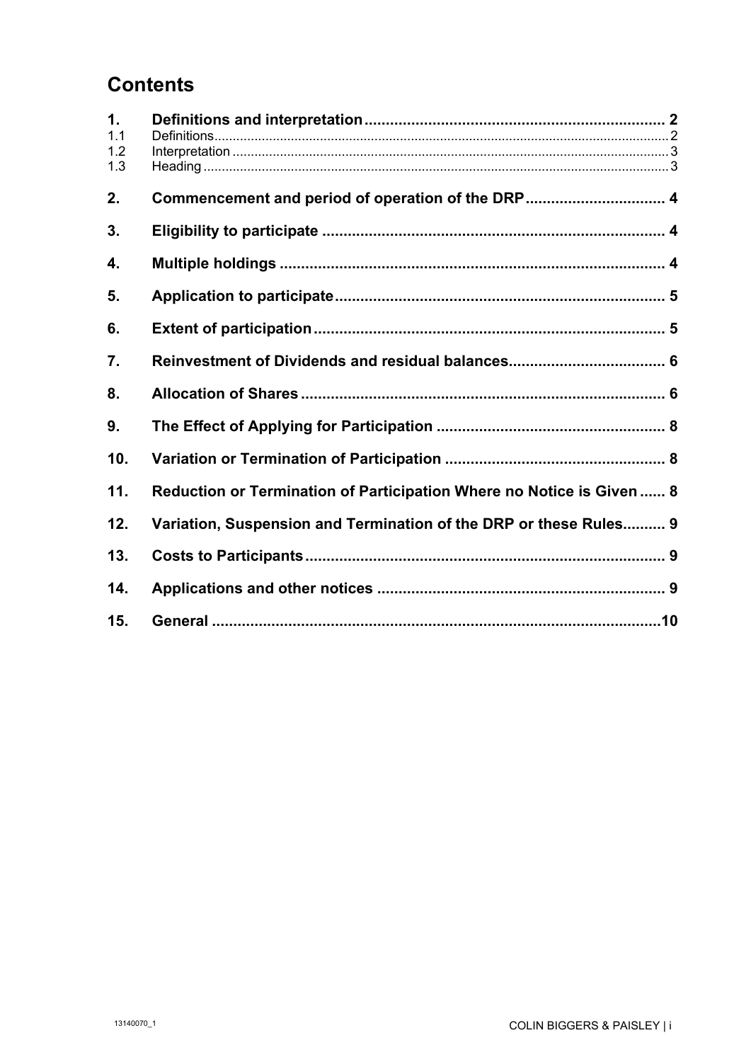# **Contents**

| 1.<br>1.1<br>1.2<br>1.3 |                                                                       |  |
|-------------------------|-----------------------------------------------------------------------|--|
| 2.                      | Commencement and period of operation of the DRP 4                     |  |
| 3.                      |                                                                       |  |
| 4.                      |                                                                       |  |
| 5.                      |                                                                       |  |
| 6.                      |                                                                       |  |
| 7.                      |                                                                       |  |
| 8.                      |                                                                       |  |
| 9.                      |                                                                       |  |
| 10.                     |                                                                       |  |
| 11.                     | Reduction or Termination of Participation Where no Notice is Given  8 |  |
| 12.                     | Variation, Suspension and Termination of the DRP or these Rules 9     |  |
| 13.                     |                                                                       |  |
| 14.                     |                                                                       |  |
| 15.                     |                                                                       |  |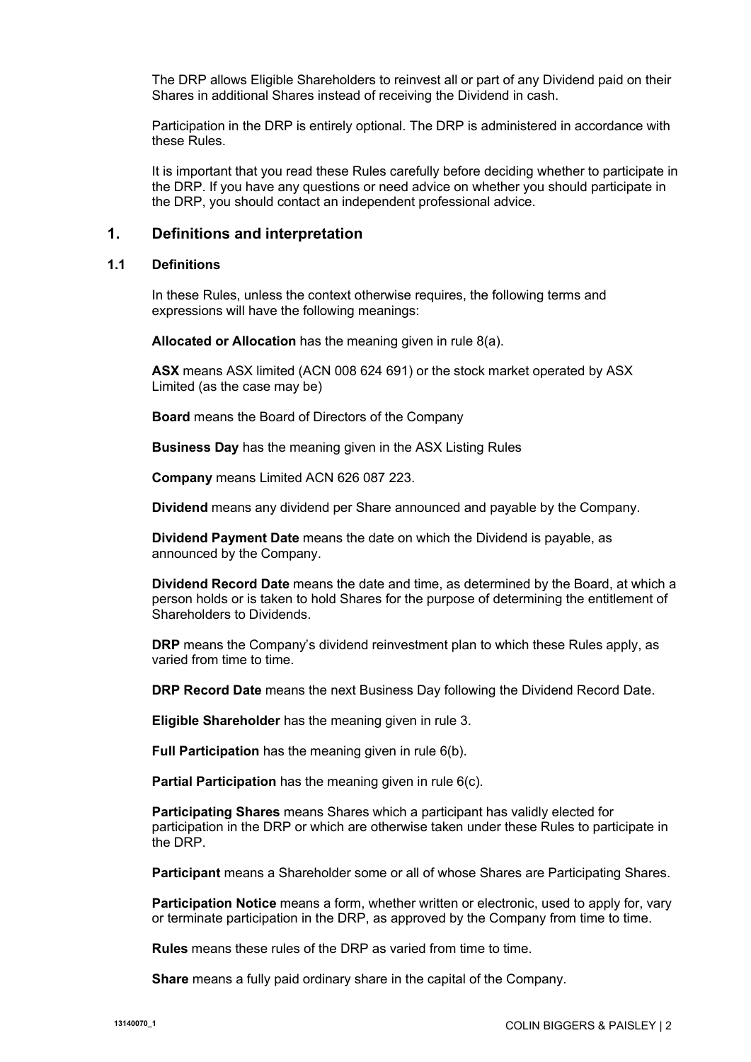The DRP allows Eligible Shareholders to reinvest all or part of any Dividend paid on their Shares in additional Shares instead of receiving the Dividend in cash.

Participation in the DRP is entirely optional. The DRP is administered in accordance with these Rules.

It is important that you read these Rules carefully before deciding whether to participate in the DRP. If you have any questions or need advice on whether you should participate in the DRP, you should contact an independent professional advice.

#### **1. Definitions and interpretation**

#### **1.1 Definitions**

In these Rules, unless the context otherwise requires, the following terms and expressions will have the following meanings:

**Allocated or Allocation** has the meaning given in rule [8\(a\).](#page-6-0)

**ASX** means ASX limited (ACN 008 624 691) or the stock market operated by ASX Limited (as the case may be)

**Board** means the Board of Directors of the Company

**Business Day** has the meaning given in the ASX Listing Rules

**Company** means Limited ACN 626 087 223.

**Dividend** means any dividend per Share announced and payable by the Company.

**Dividend Payment Date** means the date on which the Dividend is payable, as announced by the Company.

**Dividend Record Date** means the date and time, as determined by the Board, at which a person holds or is taken to hold Shares for the purpose of determining the entitlement of Shareholders to Dividends.

**DRP** means the Company's dividend reinvestment plan to which these Rules apply, as varied from time to time.

**DRP Record Date** means the next Business Day following the Dividend Record Date.

**Eligible Shareholder** has the meaning given in rule [3.](#page-4-0)

**Full Participation** has the meaning given in rule [6\(b\).](#page-5-0)

**Partial Participation** has the meaning given in rule [6\(c\).](#page-5-1)

**Participating Shares** means Shares which a participant has validly elected for participation in the DRP or which are otherwise taken under these Rules to participate in the DRP.

**Participant** means a Shareholder some or all of whose Shares are Participating Shares.

**Participation Notice** means a form, whether written or electronic, used to apply for, vary or terminate participation in the DRP, as approved by the Company from time to time.

**Rules** means these rules of the DRP as varied from time to time.

**Share** means a fully paid ordinary share in the capital of the Company.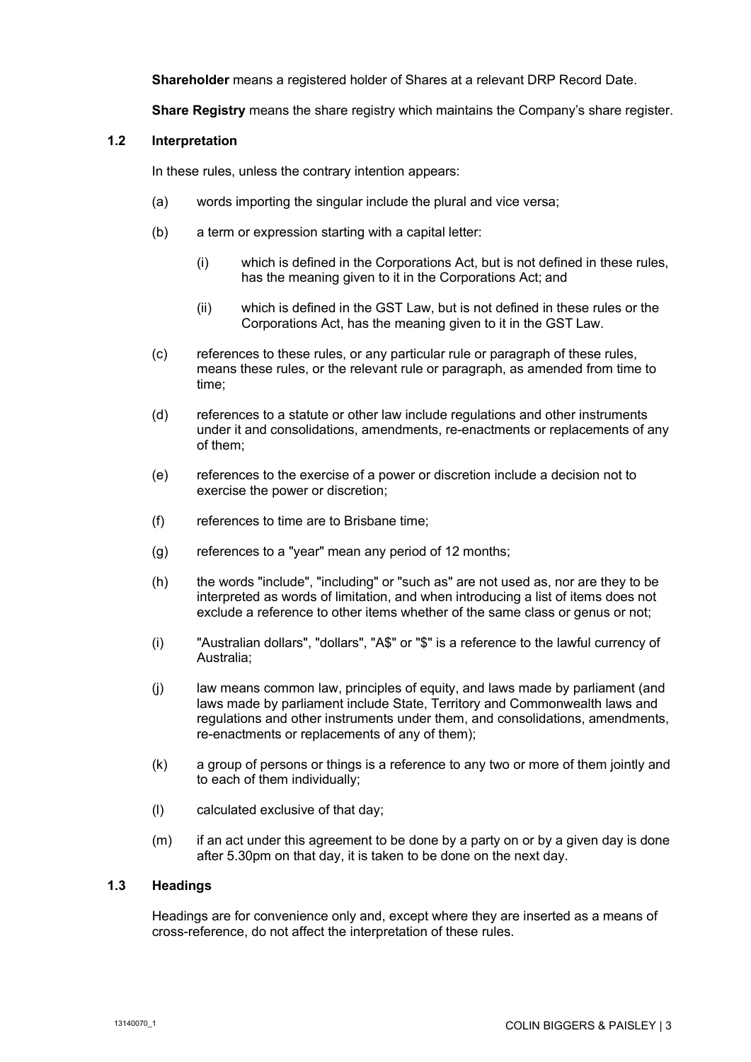**Shareholder** means a registered holder of Shares at a relevant DRP Record Date.

**Share Registry** means the share registry which maintains the Company's share register.

#### **1.2 Interpretation**

In these rules, unless the contrary intention appears:

- (a) words importing the singular include the plural and vice versa;
- (b) a term or expression starting with a capital letter:
	- (i) which is defined in the Corporations Act, but is not defined in these rules, has the meaning given to it in the Corporations Act; and
	- (ii) which is defined in the GST Law, but is not defined in these rules or the Corporations Act, has the meaning given to it in the GST Law.
- (c) references to these rules, or any particular rule or paragraph of these rules, means these rules, or the relevant rule or paragraph, as amended from time to time;
- (d) references to a statute or other law include regulations and other instruments under it and consolidations, amendments, re-enactments or replacements of any of them;
- (e) references to the exercise of a power or discretion include a decision not to exercise the power or discretion;
- (f) references to time are to Brisbane time;
- $(q)$  references to a "year" mean any period of 12 months;
- (h) the words "include", "including" or "such as" are not used as, nor are they to be interpreted as words of limitation, and when introducing a list of items does not exclude a reference to other items whether of the same class or genus or not;
- (i) "Australian dollars", "dollars", "A\$" or "\$" is a reference to the lawful currency of Australia;
- (j) law means common law, principles of equity, and laws made by parliament (and laws made by parliament include State, Territory and Commonwealth laws and regulations and other instruments under them, and consolidations, amendments, re-enactments or replacements of any of them);
- (k) a group of persons or things is a reference to any two or more of them jointly and to each of them individually;
- (l) calculated exclusive of that day;
- (m) if an act under this agreement to be done by a party on or by a given day is done after 5.30pm on that day, it is taken to be done on the next day.

#### **1.3 Headings**

Headings are for convenience only and, except where they are inserted as a means of cross-reference, do not affect the interpretation of these rules.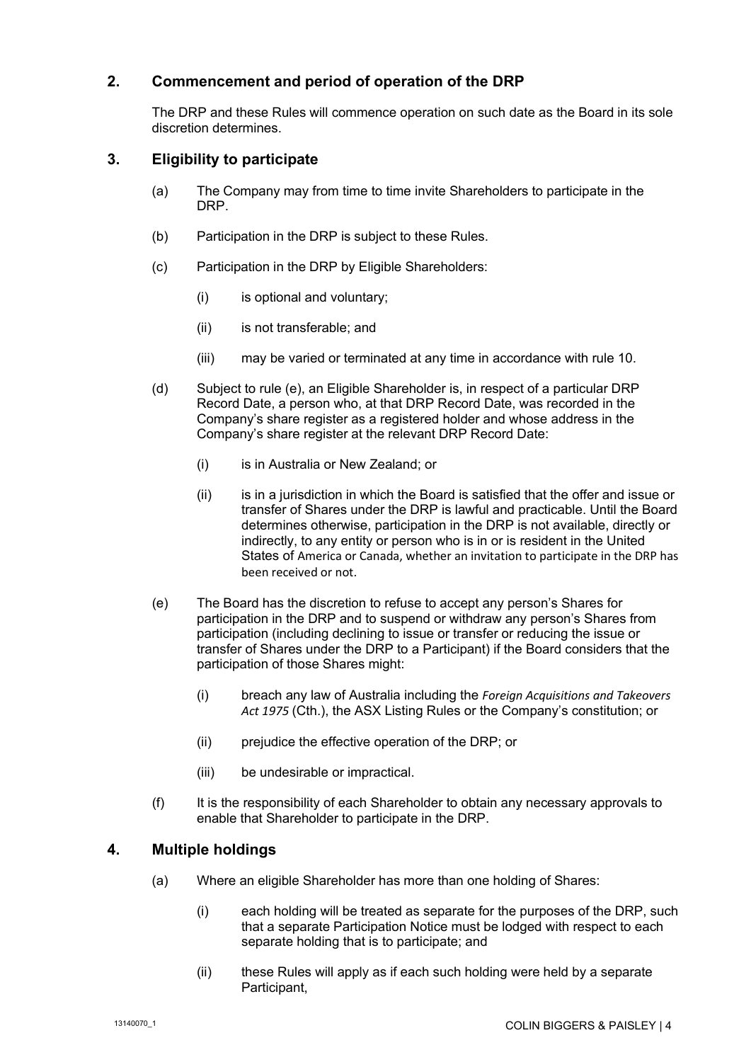# **2. Commencement and period of operation of the DRP**

The DRP and these Rules will commence operation on such date as the Board in its sole discretion determines.

## <span id="page-4-0"></span>**3. Eligibility to participate**

- (a) The Company may from time to time invite Shareholders to participate in the DRP.
- (b) Participation in the DRP is subject to these Rules.
- (c) Participation in the DRP by Eligible Shareholders:
	- (i) is optional and voluntary;
	- (ii) is not transferable; and
	- (iii) may be varied or terminated at any time in accordance with rule 10.
- (d) Subject to rule [\(e\),](#page-4-1) an Eligible Shareholder is, in respect of a particular DRP Record Date, a person who, at that DRP Record Date, was recorded in the Company's share register as a registered holder and whose address in the Company's share register at the relevant DRP Record Date:
	- (i) is in Australia or New Zealand; or
	- (ii) is in a jurisdiction in which the Board is satisfied that the offer and issue or transfer of Shares under the DRP is lawful and practicable. Until the Board determines otherwise, participation in the DRP is not available, directly or indirectly, to any entity or person who is in or is resident in the United States of America or Canada, whether an invitation to participate in the DRP has been received or not.
- <span id="page-4-1"></span>(e) The Board has the discretion to refuse to accept any person's Shares for participation in the DRP and to suspend or withdraw any person's Shares from participation (including declining to issue or transfer or reducing the issue or transfer of Shares under the DRP to a Participant) if the Board considers that the participation of those Shares might:
	- (i) breach any law of Australia including the *Foreign Acquisitions and Takeovers Act 1975* (Cth.), the ASX Listing Rules or the Company's constitution; or
	- (ii) prejudice the effective operation of the DRP; or
	- (iii) be undesirable or impractical.
- (f) It is the responsibility of each Shareholder to obtain any necessary approvals to enable that Shareholder to participate in the DRP.

#### **4. Multiple holdings**

- (a) Where an eligible Shareholder has more than one holding of Shares:
	- (i) each holding will be treated as separate for the purposes of the DRP, such that a separate Participation Notice must be lodged with respect to each separate holding that is to participate; and
	- (ii) these Rules will apply as if each such holding were held by a separate Participant,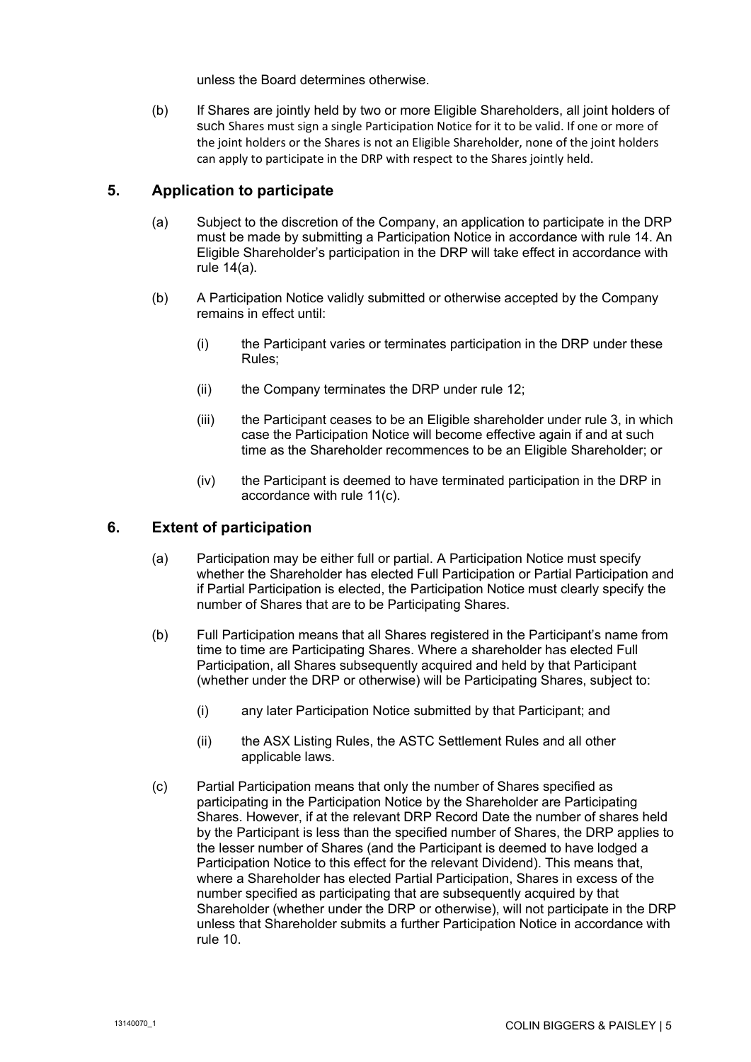unless the Board determines otherwise.

(b) If Shares are jointly held by two or more Eligible Shareholders, all joint holders of such Shares must sign a single Participation Notice for it to be valid. If one or more of the joint holders or the Shares is not an Eligible Shareholder, none of the joint holders can apply to participate in the DRP with respect to the Shares jointly held.

## **5. Application to participate**

- (a) Subject to the discretion of the Company, an application to participate in the DRP must be made by submitting a Participation Notice in accordance with rule [14.](#page-9-0) An Eligible Shareholder's participation in the DRP will take effect in accordance with rule [14\(a\).](#page-9-1)
- (b) A Participation Notice validly submitted or otherwise accepted by the Company remains in effect until:
	- (i) the Participant varies or terminates participation in the DRP under these Rules;
	- (ii) the Company terminates the DRP under rule [12;](#page-9-2)
	- (iii) the Participant ceases to be an Eligible shareholder under rule [3,](#page-4-0) in which case the Participation Notice will become effective again if and at such time as the Shareholder recommences to be an Eligible Shareholder; or
	- (iv) the Participant is deemed to have terminated participation in the DRP in accordance with rule [11\(c\).](#page-9-3)

## **6. Extent of participation**

- (a) Participation may be either full or partial. A Participation Notice must specify whether the Shareholder has elected Full Participation or Partial Participation and if Partial Participation is elected, the Participation Notice must clearly specify the number of Shares that are to be Participating Shares.
- <span id="page-5-0"></span>(b) Full Participation means that all Shares registered in the Participant's name from time to time are Participating Shares. Where a shareholder has elected Full Participation, all Shares subsequently acquired and held by that Participant (whether under the DRP or otherwise) will be Participating Shares, subject to:
	- (i) any later Participation Notice submitted by that Participant; and
	- (ii) the ASX Listing Rules, the ASTC Settlement Rules and all other applicable laws.
- <span id="page-5-1"></span>(c) Partial Participation means that only the number of Shares specified as participating in the Participation Notice by the Shareholder are Participating Shares. However, if at the relevant DRP Record Date the number of shares held by the Participant is less than the specified number of Shares, the DRP applies to the lesser number of Shares (and the Participant is deemed to have lodged a Participation Notice to this effect for the relevant Dividend). This means that, where a Shareholder has elected Partial Participation, Shares in excess of the number specified as participating that are subsequently acquired by that Shareholder (whether under the DRP or otherwise), will not participate in the DRP unless that Shareholder submits a further Participation Notice in accordance with rule [10.](#page-8-0)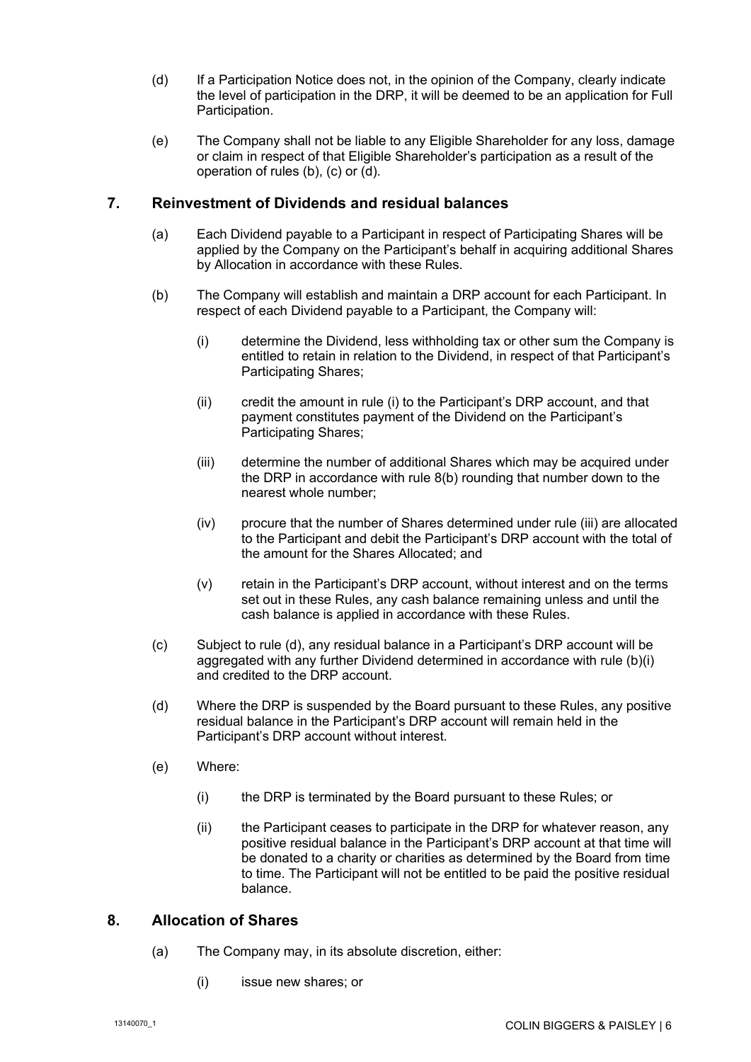- <span id="page-6-1"></span>(d) If a Participation Notice does not, in the opinion of the Company, clearly indicate the level of participation in the DRP, it will be deemed to be an application for Full Participation.
- (e) The Company shall not be liable to any Eligible Shareholder for any loss, damage or claim in respect of that Eligible Shareholder's participation as a result of the operation of rules [\(b\),](#page-5-0) [\(c\)](#page-5-1) or [\(d\).](#page-6-1)

## **7. Reinvestment of Dividends and residual balances**

- (a) Each Dividend payable to a Participant in respect of Participating Shares will be applied by the Company on the Participant's behalf in acquiring additional Shares by Allocation in accordance with these Rules.
- <span id="page-6-3"></span><span id="page-6-2"></span>(b) The Company will establish and maintain a DRP account for each Participant. In respect of each Dividend payable to a Participant, the Company will:
	- (i) determine the Dividend, less withholding tax or other sum the Company is entitled to retain in relation to the Dividend, in respect of that Participant's Participating Shares;
	- (ii) credit the amount in rule [\(i\)](#page-6-2) to the Participant's DRP account, and that payment constitutes payment of the Dividend on the Participant's Participating Shares;
	- (iii) determine the number of additional Shares which may be acquired under the DRP in accordance with rule [8\(b\)](#page-7-0) rounding that number down to the nearest whole number;
	- (iv) procure that the number of Shares determined under rule [\(iii\)](#page-6-3) are allocated to the Participant and debit the Participant's DRP account with the total of the amount for the Shares Allocated; and
	- (v) retain in the Participant's DRP account, without interest and on the terms set out in these Rules, any cash balance remaining unless and until the cash balance is applied in accordance with these Rules.
- (c) Subject to rule [\(d\),](#page-6-4) any residual balance in a Participant's DRP account will be aggregated with any further Dividend determined in accordance with rule [\(b\)\(i\)](#page-6-2) and credited to the DRP account.
- <span id="page-6-4"></span>(d) Where the DRP is suspended by the Board pursuant to these Rules, any positive residual balance in the Participant's DRP account will remain held in the Participant's DRP account without interest.
- (e) Where:
	- (i) the DRP is terminated by the Board pursuant to these Rules; or
	- (ii) the Participant ceases to participate in the DRP for whatever reason, any positive residual balance in the Participant's DRP account at that time will be donated to a charity or charities as determined by the Board from time to time. The Participant will not be entitled to be paid the positive residual balance.

#### <span id="page-6-0"></span>**8. Allocation of Shares**

- (a) The Company may, in its absolute discretion, either:
	- (i) issue new shares; or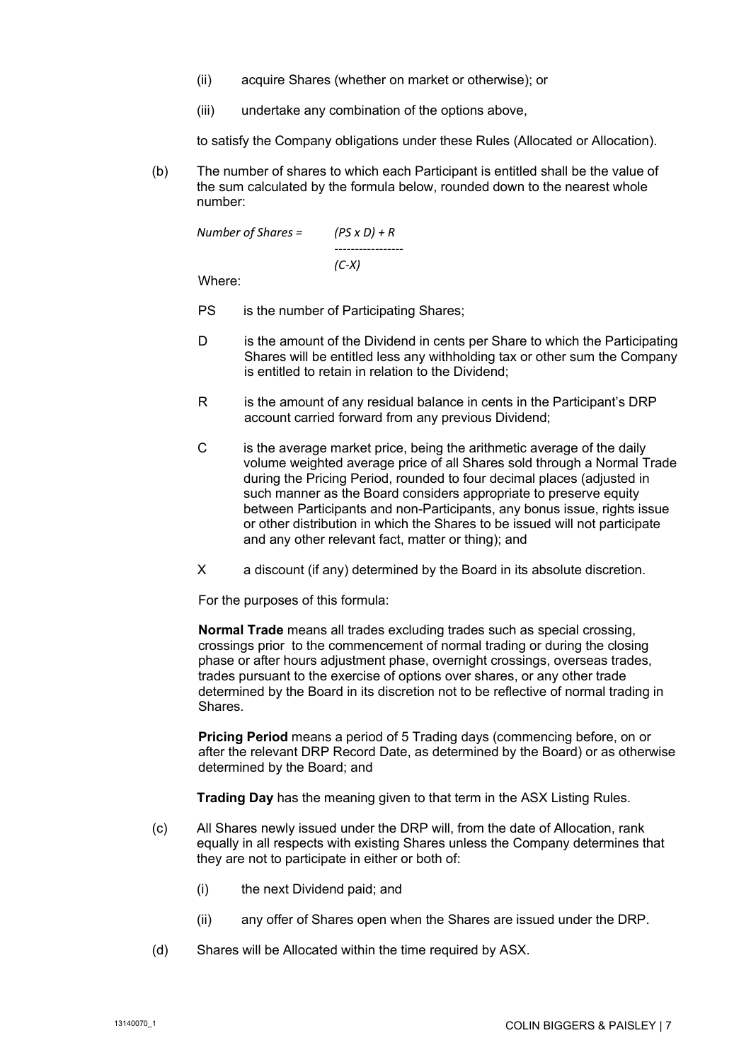- (ii) acquire Shares (whether on market or otherwise); or
- (iii) undertake any combination of the options above,

to satisfy the Company obligations under these Rules (Allocated or Allocation).

<span id="page-7-0"></span>(b) The number of shares to which each Participant is entitled shall be the value of the sum calculated by the formula below, rounded down to the nearest whole number:

| Number of Shares = | $(PS \times D) + R$ |
|--------------------|---------------------|
|                    |                     |
|                    | $(C-X)$             |

Where:

- PS is the number of Participating Shares;
- D is the amount of the Dividend in cents per Share to which the Participating Shares will be entitled less any withholding tax or other sum the Company is entitled to retain in relation to the Dividend;
- R is the amount of any residual balance in cents in the Participant's DRP account carried forward from any previous Dividend;
- C is the average market price, being the arithmetic average of the daily volume weighted average price of all Shares sold through a Normal Trade during the Pricing Period, rounded to four decimal places (adjusted in such manner as the Board considers appropriate to preserve equity between Participants and non-Participants, any bonus issue, rights issue or other distribution in which the Shares to be issued will not participate and any other relevant fact, matter or thing); and
- X a discount (if any) determined by the Board in its absolute discretion.

For the purposes of this formula:

**Normal Trade** means all trades excluding trades such as special crossing, crossings prior to the commencement of normal trading or during the closing phase or after hours adjustment phase, overnight crossings, overseas trades, trades pursuant to the exercise of options over shares, or any other trade determined by the Board in its discretion not to be reflective of normal trading in Shares.

**Pricing Period** means a period of 5 Trading days (commencing before, on or after the relevant DRP Record Date, as determined by the Board) or as otherwise determined by the Board; and

**Trading Day** has the meaning given to that term in the ASX Listing Rules.

- (c) All Shares newly issued under the DRP will, from the date of Allocation, rank equally in all respects with existing Shares unless the Company determines that they are not to participate in either or both of:
	- (i) the next Dividend paid; and
	- (ii) any offer of Shares open when the Shares are issued under the DRP.
- (d) Shares will be Allocated within the time required by ASX.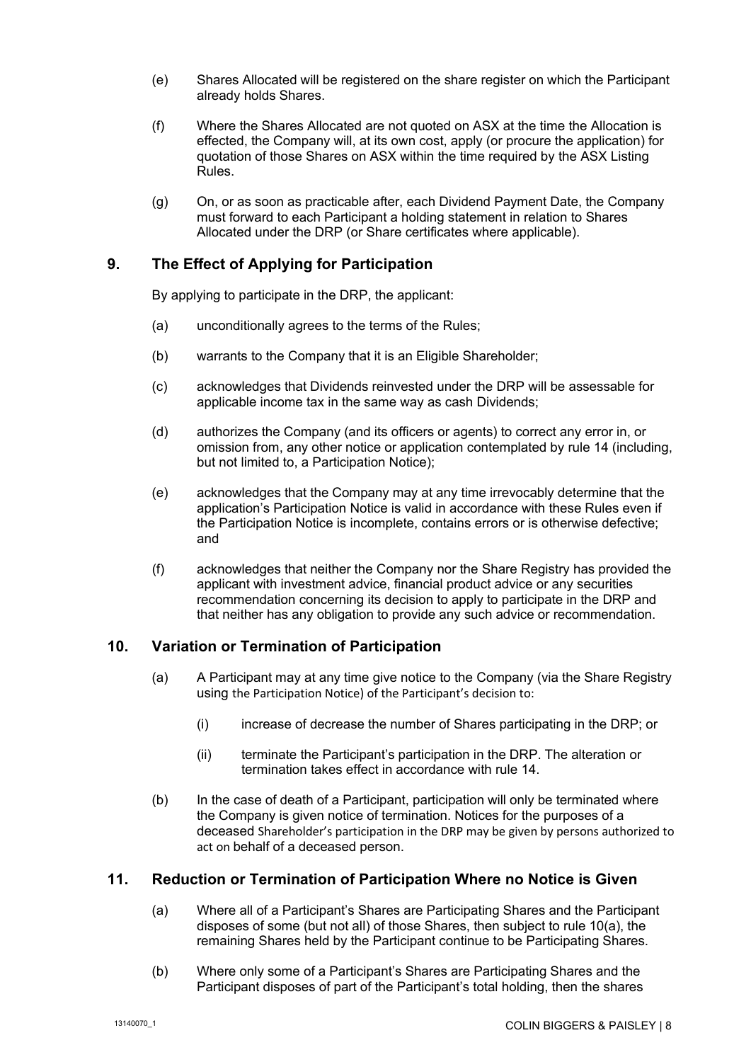- (e) Shares Allocated will be registered on the share register on which the Participant already holds Shares.
- (f) Where the Shares Allocated are not quoted on ASX at the time the Allocation is effected, the Company will, at its own cost, apply (or procure the application) for quotation of those Shares on ASX within the time required by the ASX Listing Rules.
- (g) On, or as soon as practicable after, each Dividend Payment Date, the Company must forward to each Participant a holding statement in relation to Shares Allocated under the DRP (or Share certificates where applicable).

#### **9. The Effect of Applying for Participation**

By applying to participate in the DRP, the applicant:

- (a) unconditionally agrees to the terms of the Rules;
- (b) warrants to the Company that it is an Eligible Shareholder;
- (c) acknowledges that Dividends reinvested under the DRP will be assessable for applicable income tax in the same way as cash Dividends;
- <span id="page-8-2"></span>(d) authorizes the Company (and its officers or agents) to correct any error in, or omission from, any other notice or application contemplated by rule [14](#page-9-0) (including, but not limited to, a Participation Notice);
- (e) acknowledges that the Company may at any time irrevocably determine that the application's Participation Notice is valid in accordance with these Rules even if the Participation Notice is incomplete, contains errors or is otherwise defective; and
- (f) acknowledges that neither the Company nor the Share Registry has provided the applicant with investment advice, financial product advice or any securities recommendation concerning its decision to apply to participate in the DRP and that neither has any obligation to provide any such advice or recommendation.

#### <span id="page-8-1"></span><span id="page-8-0"></span>**10. Variation or Termination of Participation**

- (a) A Participant may at any time give notice to the Company (via the Share Registry using the Participation Notice) of the Participant's decision to:
	- (i) increase of decrease the number of Shares participating in the DRP; or
	- (ii) terminate the Participant's participation in the DRP. The alteration or termination takes effect in accordance with rule [14.](#page-9-0)
- (b) In the case of death of a Participant, participation will only be terminated where the Company is given notice of termination. Notices for the purposes of a deceased Shareholder's participation in the DRP may be given by persons authorized to act on behalf of a deceased person.

#### **11. Reduction or Termination of Participation Where no Notice is Given**

- (a) Where all of a Participant's Shares are Participating Shares and the Participant disposes of some (but not all) of those Shares, then subject to rule [10\(a\),](#page-8-1) the remaining Shares held by the Participant continue to be Participating Shares.
- (b) Where only some of a Participant's Shares are Participating Shares and the Participant disposes of part of the Participant's total holding, then the shares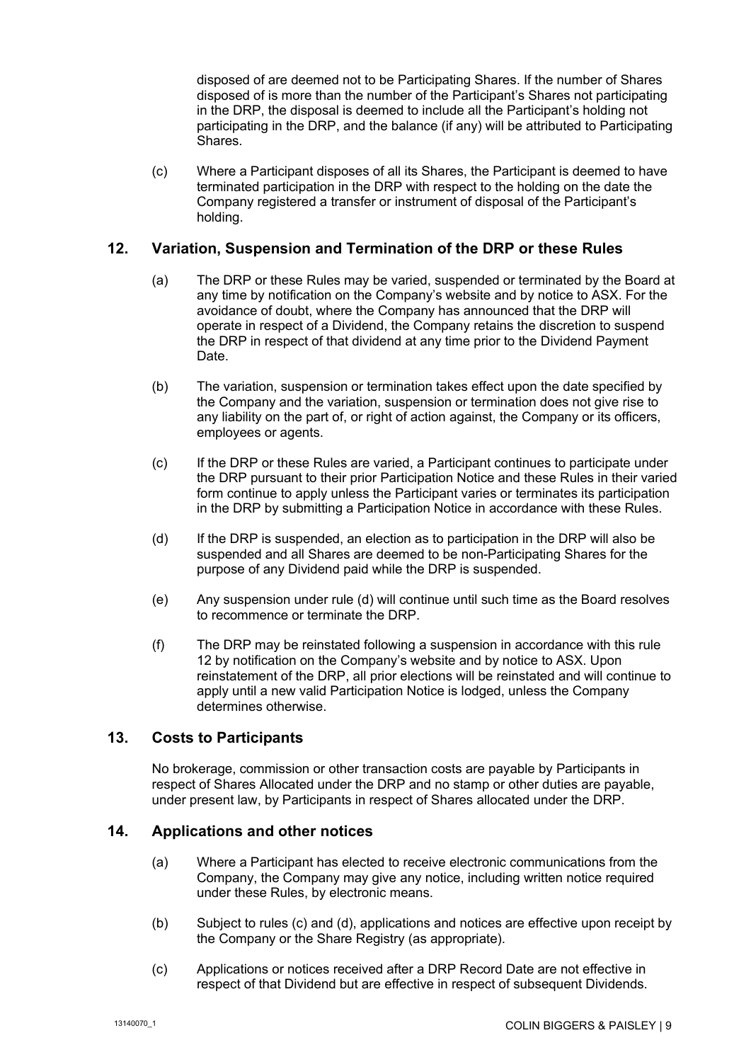disposed of are deemed not to be Participating Shares. If the number of Shares disposed of is more than the number of the Participant's Shares not participating in the DRP, the disposal is deemed to include all the Participant's holding not participating in the DRP, and the balance (if any) will be attributed to Participating Shares.

<span id="page-9-3"></span>(c) Where a Participant disposes of all its Shares, the Participant is deemed to have terminated participation in the DRP with respect to the holding on the date the Company registered a transfer or instrument of disposal of the Participant's holding.

#### <span id="page-9-2"></span>**12. Variation, Suspension and Termination of the DRP or these Rules**

- (a) The DRP or these Rules may be varied, suspended or terminated by the Board at any time by notification on the Company's website and by notice to ASX. For the avoidance of doubt, where the Company has announced that the DRP will operate in respect of a Dividend, the Company retains the discretion to suspend the DRP in respect of that dividend at any time prior to the Dividend Payment Date.
- (b) The variation, suspension or termination takes effect upon the date specified by the Company and the variation, suspension or termination does not give rise to any liability on the part of, or right of action against, the Company or its officers, employees or agents.
- (c) If the DRP or these Rules are varied, a Participant continues to participate under the DRP pursuant to their prior Participation Notice and these Rules in their varied form continue to apply unless the Participant varies or terminates its participation in the DRP by submitting a Participation Notice in accordance with these Rules.
- <span id="page-9-4"></span>(d) If the DRP is suspended, an election as to participation in the DRP will also be suspended and all Shares are deemed to be non-Participating Shares for the purpose of any Dividend paid while the DRP is suspended.
- (e) Any suspension under rule [\(d\)](#page-9-4) will continue until such time as the Board resolves to recommence or terminate the DRP.
- (f) The DRP may be reinstated following a suspension in accordance with this rule [12](#page-9-2) by notification on the Company's website and by notice to ASX. Upon reinstatement of the DRP, all prior elections will be reinstated and will continue to apply until a new valid Participation Notice is lodged, unless the Company determines otherwise.

## **13. Costs to Participants**

No brokerage, commission or other transaction costs are payable by Participants in respect of Shares Allocated under the DRP and no stamp or other duties are payable, under present law, by Participants in respect of Shares allocated under the DRP.

#### <span id="page-9-1"></span><span id="page-9-0"></span>**14. Applications and other notices**

- (a) Where a Participant has elected to receive electronic communications from the Company, the Company may give any notice, including written notice required under these Rules, by electronic means.
- (b) Subject to rules [\(c\)](#page-9-5) and [\(d\),](#page-10-0) applications and notices are effective upon receipt by the Company or the Share Registry (as appropriate).
- <span id="page-9-5"></span>(c) Applications or notices received after a DRP Record Date are not effective in respect of that Dividend but are effective in respect of subsequent Dividends.